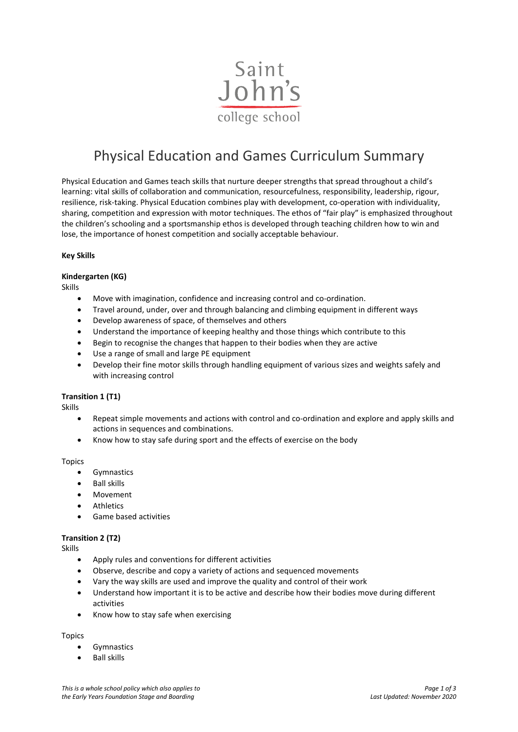

# Physical Education and Games Curriculum Summary

Physical Education and Games teach skills that nurture deeper strengths that spread throughout a child's learning: vital skills of collaboration and communication, resourcefulness, responsibility, leadership, rigour, resilience, risk-taking. Physical Education combines play with development, co-operation with individuality, sharing, competition and expression with motor techniques. The ethos of "fair play" is emphasized throughout the children's schooling and a sportsmanship ethos is developed through teaching children how to win and lose, the importance of honest competition and socially acceptable behaviour.

#### **Key Skills**

## **Kindergarten (KG)**

Skills

- Move with imagination, confidence and increasing control and co-ordination.
- Travel around, under, over and through balancing and climbing equipment in different ways
- Develop awareness of space, of themselves and others
- Understand the importance of keeping healthy and those things which contribute to this
- Begin to recognise the changes that happen to their bodies when they are active
- Use a range of small and large PE equipment
- Develop their fine motor skills through handling equipment of various sizes and weights safely and with increasing control

#### **Transition 1 (T1)**

Skills

- Repeat simple movements and actions with control and co-ordination and explore and apply skills and actions in sequences and combinations.
- Know how to stay safe during sport and the effects of exercise on the body

Topics

- **Gymnastics**
- Ball skills
- Movement
- **Athletics**
- Game based activities

#### **Transition 2 (T2)**

Skills

- Apply rules and conventions for different activities
- Observe, describe and copy a variety of actions and sequenced movements
- Vary the way skills are used and improve the quality and control of their work
- Understand how important it is to be active and describe how their bodies move during different activities
- Know how to stay safe when exercising

## Topics

- **Gymnastics**
- Ball skills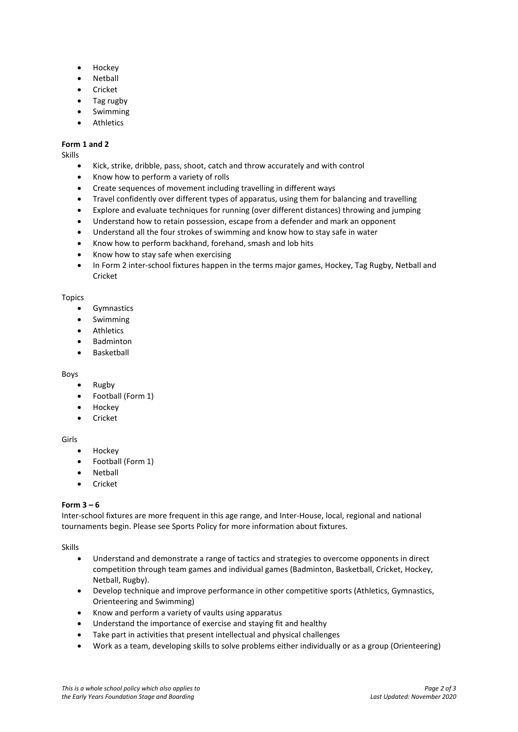- Hockey
- Netball
- **Cricket**
- Tag rugby
- **Swimming**
- **Athletics**

## **Form 1 and 2**

Skills

- Kick, strike, dribble, pass, shoot, catch and throw accurately and with control
- Know how to perform a variety of rolls
- Create sequences of movement including travelling in different ways
- Travel confidently over different types of apparatus, using them for balancing and travelling
- Explore and evaluate techniques for running (over different distances) throwing and jumping
- Understand how to retain possession, escape from a defender and mark an opponent
- Understand all the four strokes of swimming and know how to stay safe in water
- Know how to perform backhand, forehand, smash and lob hits
- Know how to stay safe when exercising
- In Form 2 inter-school fixtures happen in the terms major games, Hockey, Tag Rugby, Netball and Cricket

### Topics

- Gymnastics
- Swimming
- Athletics
- Badminton
- **Baskethall**

#### Boys

- Rugby
- Football (Form 1)
- Hockey
- Cricket

## Girls

- Hockey
- Football (Form 1)
- **Netball**
- Cricket

## **Form 3 – 6**

Inter-school fixtures are more frequent in this age range, and Inter-House, local, regional and national tournaments begin. Please see Sports Policy for more information about fixtures.

Skills

- Understand and demonstrate a range of tactics and strategies to overcome opponents in direct competition through team games and individual games (Badminton, Basketball, Cricket, Hockey, Netball, Rugby).
- Develop technique and improve performance in other competitive sports (Athletics, Gymnastics, Orienteering and Swimming)
- Know and perform a variety of vaults using apparatus
- Understand the importance of exercise and staying fit and healthy
- Take part in activities that present intellectual and physical challenges
- Work as a team, developing skills to solve problems either individually or as a group (Orienteering)